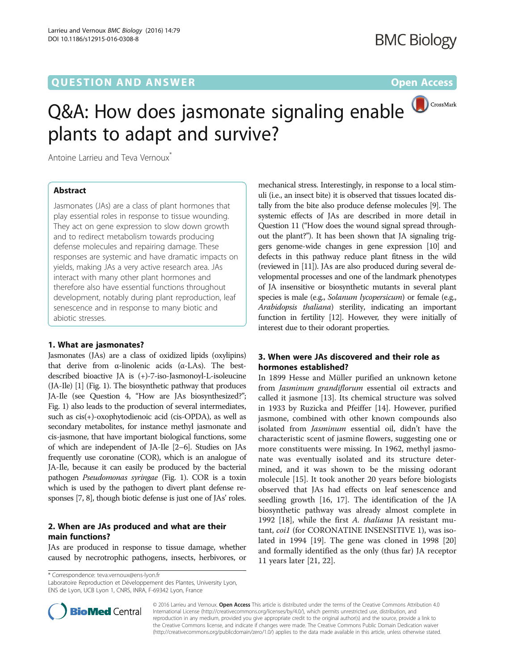## **QUESTION AND ANSWER CONSUMER CONSUMER CONSUMER CONSUMER**

## CrossMark Q&A: How does jasmonate signaling enable plants to adapt and survive?

Antoine Larrieu and Teva Vernoux<sup>\*</sup>

### Abstract

Jasmonates (JAs) are a class of plant hormones that play essential roles in response to tissue wounding. They act on gene expression to slow down growth and to redirect metabolism towards producing defense molecules and repairing damage. These responses are systemic and have dramatic impacts on yields, making JAs a very active research area. JAs interact with many other plant hormones and therefore also have essential functions throughout development, notably during plant reproduction, leaf senescence and in response to many biotic and abiotic stresses.

#### 1. What are jasmonates?

Jasmonates (JAs) are a class of oxidized lipids (oxylipins) that derive from α-linolenic acids (α-LAs). The bestdescribed bioactive JA is (+)-7-iso-Jasmonoyl-L-isoleucine (JA-Ile) [\[1](#page-5-0)] (Fig. [1](#page-1-0)). The biosynthetic pathway that produces JA-Ile (see Question 4, "How are JAs biosynthesized?"; Fig. [1](#page-1-0)) also leads to the production of several intermediates, such as cis(+)-oxophytodienoic acid (cis-OPDA), as well as secondary metabolites, for instance methyl jasmonate and cis-jasmone, that have important biological functions, some of which are independent of JA-Ile [\[2](#page-5-0)–[6](#page-5-0)]. Studies on JAs frequently use coronatine (COR), which is an analogue of JA-Ile, because it can easily be produced by the bacterial pathogen Pseudomonas syringae (Fig. [1\)](#page-1-0). COR is a toxin which is used by the pathogen to divert plant defense responses [\[7, 8](#page-5-0)], though biotic defense is just one of JAs' roles.

#### 2. When are JAs produced and what are their main functions?

JAs are produced in response to tissue damage, whether caused by necrotrophic pathogens, insects, herbivores, or

\* Correspondence: [teva.vernoux@ens-lyon.fr](mailto:teva.vernoux@ens-lyon.fr)

Laboratoire Reproduction et Développement des Plantes, University Lyon, ENS de Lyon, UCB Lyon 1, CNRS, INRA, F-69342 Lyon, France



### 3. When were JAs discovered and their role as hormones established?

In 1899 Hesse and Müller purified an unknown ketone from Jasminum grandiflorum essential oil extracts and called it jasmone [[13](#page-5-0)]. Its chemical structure was solved in 1933 by Ruzicka and Pfeiffer [\[14](#page-5-0)]. However, purified jasmone, combined with other known compounds also isolated from Jasminum essential oil, didn't have the characteristic scent of jasmine flowers, suggesting one or more constituents were missing. In 1962, methyl jasmonate was eventually isolated and its structure determined, and it was shown to be the missing odorant molecule [\[15](#page-5-0)]. It took another 20 years before biologists observed that JAs had effects on leaf senescence and seedling growth [[16, 17\]](#page-5-0). The identification of the JA biosynthetic pathway was already almost complete in 1992 [[18\]](#page-5-0), while the first A. thaliana JA resistant mutant, coi1 (for CORONATINE INSENSITIVE 1), was isolated in 1994 [\[19](#page-5-0)]. The gene was cloned in 1998 [[20](#page-5-0)] and formally identified as the only (thus far) JA receptor 11 years later [\[21](#page-5-0), [22](#page-5-0)].



© 2016 Larrieu and Vernoux. Open Access This article is distributed under the terms of the Creative Commons Attribution 4.0 International License [\(http://creativecommons.org/licenses/by/4.0/](http://creativecommons.org/licenses/by/4.0/)), which permits unrestricted use, distribution, and reproduction in any medium, provided you give appropriate credit to the original author(s) and the source, provide a link to the Creative Commons license, and indicate if changes were made. The Creative Commons Public Domain Dedication waiver [\(http://creativecommons.org/publicdomain/zero/1.0/](http://creativecommons.org/publicdomain/zero/1.0/)) applies to the data made available in this article, unless otherwise stated.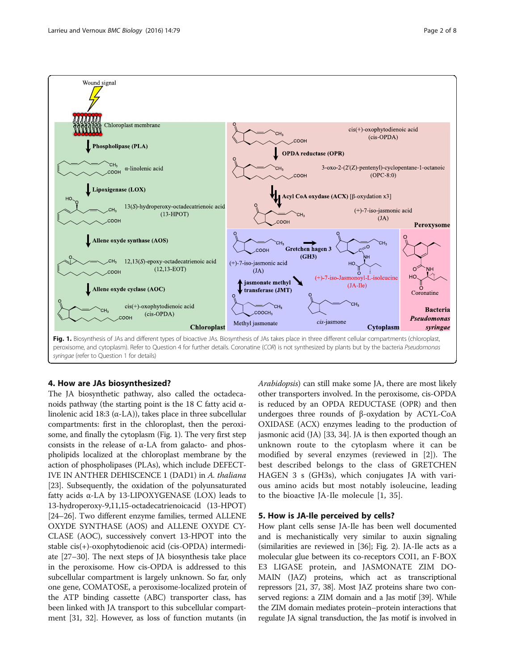<span id="page-1-0"></span>

#### 4. How are JAs biosynthesized?

The JA biosynthetic pathway, also called the octadecanoids pathway (the starting point is the 18 C fatty acid αlinolenic acid 18:3 ( $\alpha$ -LA)), takes place in three subcellular compartments: first in the chloroplast, then the peroxisome, and finally the cytoplasm (Fig. 1). The very first step consists in the release of  $\alpha$ -LA from galacto- and phospholipids localized at the chloroplast membrane by the action of phospholipases (PLAs), which include DEFECT-IVE IN ANTHER DEHISCENCE 1 (DAD1) in A. thaliana [[23](#page-5-0)]. Subsequently, the oxidation of the polyunsaturated fatty acids α-LA by 13-LIPOXYGENASE (LOX) leads to 13-hydroperoxy-9,11,15-octadecatrienoicacid (13-HPOT) [[24](#page-5-0)–[26\]](#page-5-0). Two different enzyme families, termed ALLENE OXYDE SYNTHASE (AOS) and ALLENE OXYDE CY-CLASE (AOC), successively convert 13-HPOT into the stable cis(+)-oxophytodienoic acid (cis-OPDA) intermediate [\[27](#page-5-0)–[30](#page-6-0)]. The next steps of JA biosynthesis take place in the peroxisome. How cis-OPDA is addressed to this subcellular compartment is largely unknown. So far, only one gene, COMATOSE, a peroxisome-localized protein of the ATP binding cassette (ABC) transporter class, has been linked with JA transport to this subcellular compartment [[31](#page-6-0), [32](#page-6-0)]. However, as loss of function mutants (in Arabidopsis) can still make some JA, there are most likely other transporters involved. In the peroxisome, cis-OPDA is reduced by an OPDA REDUCTASE (OPR) and then undergoes three rounds of β-oxydation by ACYL-CoA OXIDASE (ACX) enzymes leading to the production of jasmonic acid (JA) [[33](#page-6-0), [34\]](#page-6-0). JA is then exported though an unknown route to the cytoplasm where it can be modified by several enzymes (reviewed in [[2\]](#page-5-0)). The best described belongs to the class of GRETCHEN HAGEN 3 s (GH3s), which conjugates JA with various amino acids but most notably isoleucine, leading to the bioactive JA-Ile molecule [\[1](#page-5-0), [35](#page-6-0)].

#### 5. How is JA-Ile perceived by cells?

How plant cells sense JA-Ile has been well documented and is mechanistically very similar to auxin signaling (similarities are reviewed in [\[36\]](#page-6-0); Fig. [2\)](#page-2-0). JA-Ile acts as a molecular glue between its co-receptors COI1, an F-BOX E3 LIGASE protein, and JASMONATE ZIM DO-MAIN (JAZ) proteins, which act as transcriptional repressors [\[21](#page-5-0), [37, 38\]](#page-6-0). Most JAZ proteins share two conserved regions: a ZIM domain and a Jas motif [[39](#page-6-0)]. While the ZIM domain mediates protein–protein interactions that regulate JA signal transduction, the Jas motif is involved in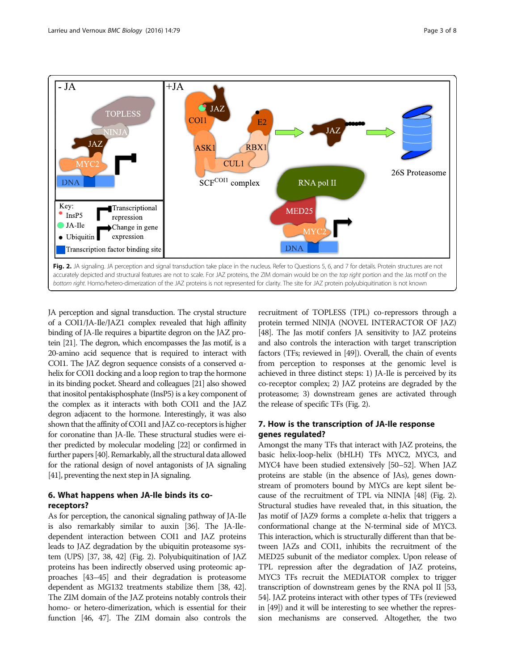<span id="page-2-0"></span>

JA perception and signal transduction. The crystal structure of a COI1/JA-Ile/JAZ1 complex revealed that high affinity binding of JA-Ile requires a bipartite degron on the JAZ protein [\[21](#page-5-0)]. The degron, which encompasses the Jas motif, is a 20-amino acid sequence that is required to interact with COI1. The JAZ degron sequence consists of a conserved αhelix for COI1 docking and a loop region to trap the hormone in its binding pocket. Sheard and colleagues [\[21\]](#page-5-0) also showed that inositol pentakisphosphate (InsP5) is a key component of the complex as it interacts with both COI1 and the JAZ degron adjacent to the hormone. Interestingly, it was also shown that the affinity of COI1 and JAZ co-receptors is higher for coronatine than JA-Ile. These structural studies were either predicted by molecular modeling [\[22](#page-5-0)] or confirmed in further papers [\[40](#page-6-0)]. Remarkably, all the structural data allowed for the rational design of novel antagonists of JA signaling [[41\]](#page-6-0), preventing the next step in JA signaling.

### 6. What happens when JA-Ile binds its coreceptors?

As for perception, the canonical signaling pathway of JA-Ile is also remarkably similar to auxin [[36](#page-6-0)]. The JA-Iledependent interaction between COI1 and JAZ proteins leads to JAZ degradation by the ubiquitin proteasome system (UPS) [[37](#page-6-0), [38, 42\]](#page-6-0) (Fig. 2). Polyubiquitination of JAZ proteins has been indirectly observed using proteomic approaches [[43](#page-6-0)–[45](#page-6-0)] and their degradation is proteasome dependent as MG132 treatments stabilize them [\[38](#page-6-0), [42](#page-6-0)]. The ZIM domain of the JAZ proteins notably controls their homo- or hetero-dimerization, which is essential for their function [[46](#page-6-0), [47\]](#page-6-0). The ZIM domain also controls the

recruitment of TOPLESS (TPL) co-repressors through a protein termed NINJA (NOVEL INTERACTOR OF JAZ) [[48](#page-6-0)]. The Jas motif confers JA sensitivity to JAZ proteins and also controls the interaction with target transcription factors (TFs; reviewed in [[49](#page-6-0)]). Overall, the chain of events from perception to responses at the genomic level is achieved in three distinct steps: 1) JA-Ile is perceived by its co-receptor complex; 2) JAZ proteins are degraded by the proteasome; 3) downstream genes are activated through the release of specific TFs (Fig. 2).

### 7. How is the transcription of JA-Ile response genes regulated?

Amongst the many TFs that interact with JAZ proteins, the basic helix-loop-helix (bHLH) TFs MYC2, MYC3, and MYC4 have been studied extensively [[50](#page-6-0)–[52](#page-6-0)]. When JAZ proteins are stable (in the absence of JAs), genes downstream of promoters bound by MYCs are kept silent because of the recruitment of TPL via NINJA [\[48\]](#page-6-0) (Fig. 2). Structural studies have revealed that, in this situation, the Jas motif of JAZ9 forms a complete α-helix that triggers a conformational change at the N-terminal side of MYC3. This interaction, which is structurally different than that between JAZs and COI1, inhibits the recruitment of the MED25 subunit of the mediator complex. Upon release of TPL repression after the degradation of JAZ proteins, MYC3 TFs recruit the MEDIATOR complex to trigger transcription of downstream genes by the RNA pol II [\[53](#page-6-0), [54](#page-6-0)]. JAZ proteins interact with other types of TFs (reviewed in [\[49\]](#page-6-0)) and it will be interesting to see whether the repression mechanisms are conserved. Altogether, the two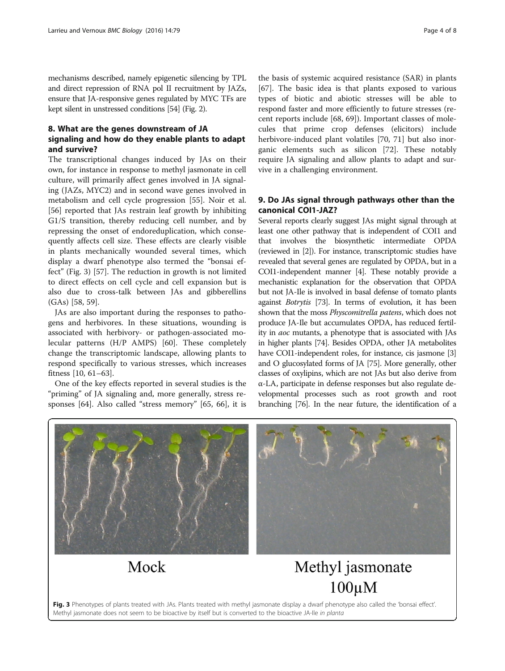mechanisms described, namely epigenetic silencing by TPL and direct repression of RNA pol II recruitment by JAZs, ensure that JA-responsive genes regulated by MYC TFs are kept silent in unstressed conditions [\[54\]](#page-6-0) (Fig. [2](#page-2-0)).

#### 8. What are the genes downstream of JA signaling and how do they enable plants to adapt and survive?

The transcriptional changes induced by JAs on their own, for instance in response to methyl jasmonate in cell culture, will primarily affect genes involved in JA signaling (JAZs, MYC2) and in second wave genes involved in metabolism and cell cycle progression [\[55](#page-6-0)]. Noir et al. [[56\]](#page-6-0) reported that JAs restrain leaf growth by inhibiting G1/S transition, thereby reducing cell number, and by repressing the onset of endoreduplication, which consequently affects cell size. These effects are clearly visible in plants mechanically wounded several times, which display a dwarf phenotype also termed the "bonsai effect" (Fig. 3) [\[57](#page-6-0)]. The reduction in growth is not limited to direct effects on cell cycle and cell expansion but is also due to cross-talk between JAs and gibberellins (GAs) [\[58](#page-6-0), [59\]](#page-6-0).

JAs are also important during the responses to pathogens and herbivores. In these situations, wounding is associated with herbivory- or pathogen-associated molecular patterns (H/P AMPS) [\[60](#page-6-0)]. These completely change the transcriptomic landscape, allowing plants to respond specifically to various stresses, which increases fitness [[10,](#page-5-0) [61](#page-6-0)–[63](#page-6-0)].

One of the key effects reported in several studies is the "priming" of JA signaling and, more generally, stress responses [\[64](#page-6-0)]. Also called "stress memory" [\[65](#page-6-0), [66](#page-6-0)], it is

the basis of systemic acquired resistance (SAR) in plants [[67\]](#page-6-0). The basic idea is that plants exposed to various types of biotic and abiotic stresses will be able to respond faster and more efficiently to future stresses (recent reports include [\[68, 69\]](#page-6-0)). Important classes of molecules that prime crop defenses (elicitors) include herbivore-induced plant volatiles [\[70](#page-6-0), [71](#page-6-0)] but also inorganic elements such as silicon [[72\]](#page-6-0). These notably require JA signaling and allow plants to adapt and survive in a challenging environment.

#### 9. Do JAs signal through pathways other than the canonical COI1-JAZ?

Several reports clearly suggest JAs might signal through at least one other pathway that is independent of COI1 and that involves the biosynthetic intermediate OPDA (reviewed in [[2](#page-5-0)]). For instance, transcriptomic studies have revealed that several genes are regulated by OPDA, but in a COI1-independent manner [\[4\]](#page-5-0). These notably provide a mechanistic explanation for the observation that OPDA but not JA-Ile is involved in basal defense of tomato plants against Botrytis [[73](#page-6-0)]. In terms of evolution, it has been shown that the moss Physcomitrella patens, which does not produce JA-Ile but accumulates OPDA, has reduced fertility in aoc mutants, a phenotype that is associated with JAs in higher plants [\[74\]](#page-6-0). Besides OPDA, other JA metabolites have COI1-independent roles, for instance, cis jasmone [[3](#page-5-0)] and O glucosylated forms of JA [[75](#page-6-0)]. More generally, other classes of oxylipins, which are not JAs but also derive from α-LA, participate in defense responses but also regulate developmental processes such as root growth and root branching [\[76\]](#page-6-0). In the near future, the identification of a



Mock

# Methyl jasmonate  $100 \mu M$

Fig. 3 Phenotypes of plants treated with JAs. Plants treated with methyl jasmonate display a dwarf phenotype also called the 'bonsai effect'. Methyl jasmonate does not seem to be bioactive by itself but is converted to the bioactive JA-Ile in planta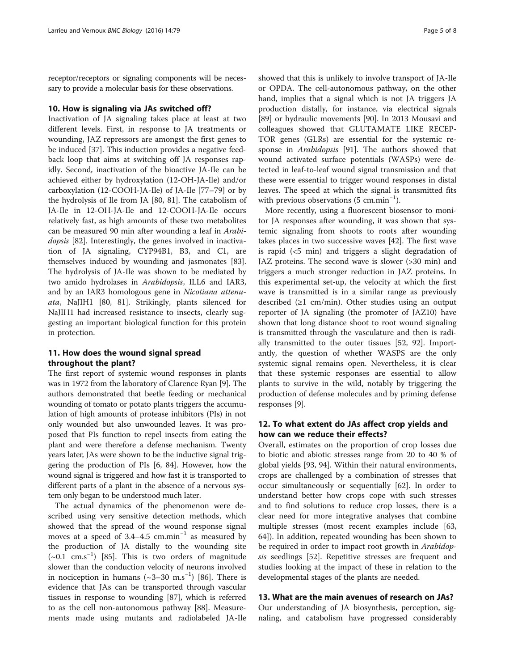receptor/receptors or signaling components will be necessary to provide a molecular basis for these observations.

#### 10. How is signaling via JAs switched off?

Inactivation of JA signaling takes place at least at two different levels. First, in response to JA treatments or wounding, JAZ repressors are amongst the first genes to be induced [[37\]](#page-6-0). This induction provides a negative feedback loop that aims at switching off JA responses rapidly. Second, inactivation of the bioactive JA-Ile can be achieved either by hydroxylation (12-OH-JA-Ile) and/or carboxylation (12-COOH-JA-Ile) of JA-Ile [[77](#page-7-0)–[79](#page-7-0)] or by the hydrolysis of Ile from JA [[80, 81](#page-7-0)]. The catabolism of JA-Ile in 12-OH-JA-Ile and 12-COOH-JA-Ile occurs relatively fast, as high amounts of these two metabolites can be measured 90 min after wounding a leaf in Arabi-dopsis [\[82\]](#page-7-0). Interestingly, the genes involved in inactivation of JA signaling, CYP94B1, B3, and C1, are themselves induced by wounding and jasmonates [\[83](#page-7-0)]. The hydrolysis of JA-Ile was shown to be mediated by two amido hydrolases in Arabidopsis, ILL6 and IAR3, and by an IAR3 homologous gene in Nicotiana attenuata, NaJIH1 [[80, 81](#page-7-0)]. Strikingly, plants silenced for NaJIH1 had increased resistance to insects, clearly suggesting an important biological function for this protein in protection.

#### 11. How does the wound signal spread throughout the plant?

The first report of systemic wound responses in plants was in 1972 from the laboratory of Clarence Ryan [[9\]](#page-5-0). The authors demonstrated that beetle feeding or mechanical wounding of tomato or potato plants triggers the accumulation of high amounts of protease inhibitors (PIs) in not only wounded but also unwounded leaves. It was proposed that PIs function to repel insects from eating the plant and were therefore a defense mechanism. Twenty years later, JAs were shown to be the inductive signal triggering the production of PIs [\[6,](#page-5-0) [84](#page-7-0)]. However, how the wound signal is triggered and how fast it is transported to different parts of a plant in the absence of a nervous system only began to be understood much later.

The actual dynamics of the phenomenon were described using very sensitive detection methods, which showed that the spread of the wound response signal moves at a speed of  $3.4-4.5$  cm.min<sup>-1</sup> as measured by the production of JA distally to the wounding site (~0.1 cm.s−<sup>1</sup> ) [[85\]](#page-7-0). This is two orders of magnitude slower than the conduction velocity of neurons involved in nociception in humans  $({\sim}3{-}30\ \text{m.s}^{-1})$  [\[86](#page-7-0)]. There is evidence that JAs can be transported through vascular tissues in response to wounding [[87\]](#page-7-0), which is referred to as the cell non-autonomous pathway [\[88](#page-7-0)]. Measurements made using mutants and radiolabeled JA-Ile showed that this is unlikely to involve transport of JA-Ile or OPDA. The cell-autonomous pathway, on the other hand, implies that a signal which is not JA triggers JA production distally, for instance, via electrical signals [[89\]](#page-7-0) or hydraulic movements [[90](#page-7-0)]. In 2013 Mousavi and colleagues showed that GLUTAMATE LIKE RECEP-TOR genes (GLRs) are essential for the systemic response in *Arabidopsis* [[91\]](#page-7-0). The authors showed that wound activated surface potentials (WASPs) were detected in leaf-to-leaf wound signal transmission and that these were essential to trigger wound responses in distal leaves. The speed at which the signal is transmitted fits with previous observations (5 cm.min<sup>-1</sup>).

More recently, using a fluorescent biosensor to monitor JA responses after wounding, it was shown that systemic signaling from shoots to roots after wounding takes places in two successive waves [\[42](#page-6-0)]. The first wave is rapid (<5 min) and triggers a slight degradation of JAZ proteins. The second wave is slower (>30 min) and triggers a much stronger reduction in JAZ proteins. In this experimental set-up, the velocity at which the first wave is transmitted is in a similar range as previously described  $(≥1$  cm/min). Other studies using an output reporter of JA signaling (the promoter of JAZ10) have shown that long distance shoot to root wound signaling is transmitted through the vasculature and then is radially transmitted to the outer tissues [\[52](#page-6-0), [92](#page-7-0)]. Importantly, the question of whether WASPS are the only systemic signal remains open. Nevertheless, it is clear that these systemic responses are essential to allow plants to survive in the wild, notably by triggering the production of defense molecules and by priming defense responses [\[9](#page-5-0)].

#### 12. To what extent do JAs affect crop yields and how can we reduce their effects?

Overall, estimates on the proportion of crop losses due to biotic and abiotic stresses range from 20 to 40 % of global yields [\[93, 94\]](#page-7-0). Within their natural environments, crops are challenged by a combination of stresses that occur simultaneously or sequentially [\[62\]](#page-6-0). In order to understand better how crops cope with such stresses and to find solutions to reduce crop losses, there is a clear need for more integrative analyses that combine multiple stresses (most recent examples include [[63](#page-6-0), [64\]](#page-6-0)). In addition, repeated wounding has been shown to be required in order to impact root growth in *Arabidop*sis seedlings [[52\]](#page-6-0). Repetitive stresses are frequent and studies looking at the impact of these in relation to the developmental stages of the plants are needed.

#### 13. What are the main avenues of research on JAs?

Our understanding of JA biosynthesis, perception, signaling, and catabolism have progressed considerably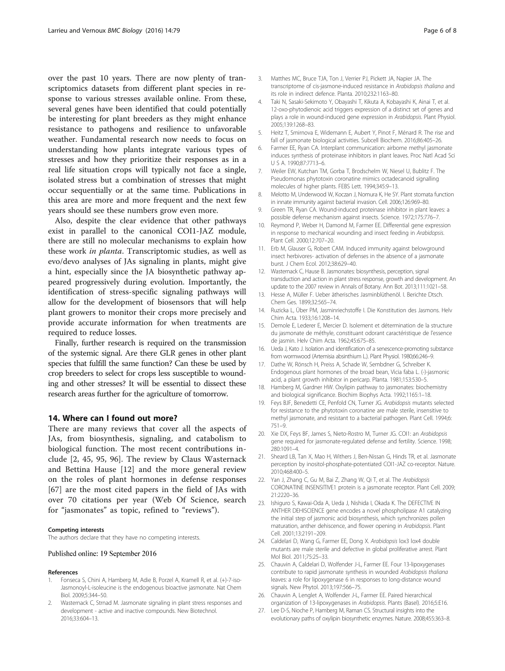<span id="page-5-0"></span>over the past 10 years. There are now plenty of transcriptomics datasets from different plant species in response to various stresses available online. From these, several genes have been identified that could potentially be interesting for plant breeders as they might enhance resistance to pathogens and resilience to unfavorable weather. Fundamental research now needs to focus on understanding how plants integrate various types of stresses and how they prioritize their responses as in a real life situation crops will typically not face a single, isolated stress but a combination of stresses that might occur sequentially or at the same time. Publications in this area are more and more frequent and the next few years should see these numbers grow even more.

Also, despite the clear evidence that other pathways exist in parallel to the canonical COI1-JAZ module, there are still no molecular mechanisms to explain how these work in planta. Transcriptomic studies, as well as evo/devo analyses of JAs signaling in plants, might give a hint, especially since the JA biosynthetic pathway appeared progressively during evolution. Importantly, the identification of stress-specific signaling pathways will allow for the development of biosensors that will help plant growers to monitor their crops more precisely and provide accurate information for when treatments are required to reduce losses.

Finally, further research is required on the transmission of the systemic signal. Are there GLR genes in other plant species that fulfill the same function? Can these be used by crop breeders to select for crops less susceptible to wounding and other stresses? It will be essential to dissect these research areas further for the agriculture of tomorrow.

#### 14. Where can I found out more?

There are many reviews that cover all the aspects of JAs, from biosynthesis, signaling, and catabolism to biological function. The most recent contributions include [2, [45](#page-6-0), [95, 96\]](#page-7-0). The review by Claus Wasternack and Bettina Hause [12] and the more general review on the roles of plant hormones in defense responses [[67\]](#page-6-0) are the most cited papers in the field of JAs with over 70 citations per year (Web Of Science, search for "jasmonates" as topic, refined to "reviews").

**The authors declare that they have no competing interests.** 

#### Published online: 19 September 2016

- 1. Fonseca S, Chini A, Hamberg M, Adie B, Porzel A, Kramell R, et al. (+)-7-iso-Jasmonoyl-L-isoleucine is the endogenous bioactive jasmonate. Nat Chem Biol. 2009;5:344–50.
- 2. Wasternack C, Strnad M. Jasmonate signaling in plant stress responses and development - active and inactive compounds. New Biotechnol. 2016;33:604–13.
- 3. Matthes MC, Bruce TJA, Ton J, Verrier PJ, Pickett JA, Napier JA. The transcriptome of cis-jasmone-induced resistance in Arabidopsis thaliana and its role in indirect defence. Planta. 2010;232:1163–80.
- 4. Taki N, Sasaki-Sekimoto Y, Obayashi T, Kikuta A, Kobayashi K, Ainai T, et al. 12-oxo-phytodienoic acid triggers expression of a distinct set of genes and plays a role in wound-induced gene expression in Arabidopsis. Plant Physiol. 2005;139:1268–83.
- 5. Heitz T, Smirnova E, Widemann E, Aubert Y, Pinot F, Ménard R. The rise and fall of jasmonate biological activities. Subcell Biochem. 2016;86:405–26.
- 6. Farmer EE, Ryan CA. Interplant communication: airborne methyl jasmonate induces synthesis of proteinase inhibitors in plant leaves. Proc Natl Acad Sci U S A. 1990;87:7713–6.
- 7. Weiler EW, Kutchan TM, Gorba T, Brodschelm W, Niesel U, Bublitz F. The Pseudomonas phytotoxin coronatine mimics octadecanoid signalling molecules of higher plants. FEBS Lett. 1994;345:9–13.
- 8. Melotto M, Underwood W, Koczan J, Nomura K, He SY. Plant stomata function in innate immunity against bacterial invasion. Cell. 2006;126:969–80.
- Green TR, Ryan CA. Wound-induced proteinase inhibitor in plant leaves: a possible defense mechanism against insects. Science. 1972;175:776–7.
- 10. Reymond P, Weber H, Damond M, Farmer EE. Differential gene expression in response to mechanical wounding and insect feeding in Arabidopsis. Plant Cell. 2000;12:707–20.
- 11. Erb M, Glauser G, Robert CAM. Induced immunity against belowground insect herbivores- activation of defenses in the absence of a jasmonate burst. J Chem Ecol. 2012;38:629–40.
- 12. Wasternack C, Hause B. Jasmonates: biosynthesis, perception, signal transduction and action in plant stress response, growth and development. An update to the 2007 review in Annals of Botany. Ann Bot. 2013;111:1021–58.
- 13. Hesse A, Müller F. Ueber ätherisches Jasminblüthenöl. I. Berichte Dtsch. Chem Ges. 1899;32:565–74.
- 14. Ruzicka L, Über PM, Jasminriechstoffe I. Die Konstitution des Jasmons. Helv Chim Acta. 1933;16:1208–14.
- 15. Demole E, Lederer E, Mercier D. Isolement et détermination de la structure du jasmonate de méthyle, constituant odorant caractéristique de l'essence de jasmin. Helv Chim Acta. 1962;45:675–85.
- 16. Ueda J, Kato J. Isolation and identification of a senescence-promoting substance from wormwood (Artemisia absinthium L.). Plant Physiol. 1980;66:246–9.
- 17. Dathe W, Rönsch H, Preiss A, Schade W, Sembdner G, Schreiber K. Endogenous plant hormones of the broad bean, Vicia faba L. (-)-jasmonic acid, a plant growth inhibitor in pericarp. Planta. 1981;153:530–5.
- 18. Hamberg M, Gardner HW. Oxylipin pathway to jasmonates: biochemistry and biological significance. Biochim Biophys Acta. 1992;1165:1–18.
- 19. Feys BJF, Benedetti CE, Penfold CN, Turner JG. Arabidopsis mutants selected for resistance to the phytotoxin coronatine are male sterile, insensitive to methyl jasmonate, and resistant to a bacterial pathogen. Plant Cell. 1994;6: 751–9.
- 20. Xie DX, Feys BF, James S, Nieto-Rostro M, Turner JG. COI1: an Arabidopsis gene required for jasmonate-regulated defense and fertility. Science. 1998; 280:1091–4.
- 21. Sheard LB, Tan X, Mao H, Withers J, Ben-Nissan G, Hinds TR, et al. Jasmonate perception by inositol-phosphate-potentiated COI1-JAZ co-receptor. Nature. 2010;468:400–5.
- 22. Yan J, Zhang C, Gu M, Bai Z, Zhang W, Qi T, et al. The Arabidopsis CORONATINE INSENSITIVE1 protein is a jasmonate receptor. Plant Cell. 2009; 21:2220–36.
- 23. Ishiguro S, Kawai-Oda A, Ueda J, Nishida I, Okada K. The DEFECTIVE IN ANTHER DEHISCIENCE gene encodes a novel phospholipase A1 catalyzing the initial step of jasmonic acid biosynthesis, which synchronizes pollen maturation, anther dehiscence, and flower opening in Arabidopsis. Plant Cell. 2001;13:2191–209.
- 24. Caldelari D, Wang G, Farmer EE, Dong X. Arabidopsis lox3 lox4 double mutants are male sterile and defective in global proliferative arrest. Plant Mol Biol. 2011;75:25–33.
- 25. Chauvin A, Caldelari D, Wolfender J-L, Farmer EE. Four 13-lipoxygenases contribute to rapid jasmonate synthesis in wounded Arabidopsis thaliana leaves: a role for lipoxygenase 6 in responses to long-distance wound signals. New Phytol. 2013;197:566–75.
- 26. Chauvin A, Lenglet A, Wolfender J-L, Farmer EE. Paired hierarchical organization of 13-lipoxygenases in Arabidopsis. Plants (Basel). 2016;5:E16.
- 27. Lee D-S, Nioche P, Hamberg M, Raman CS. Structural insights into the evolutionary paths of oxylipin biosynthetic enzymes. Nature. 2008;455:363–8.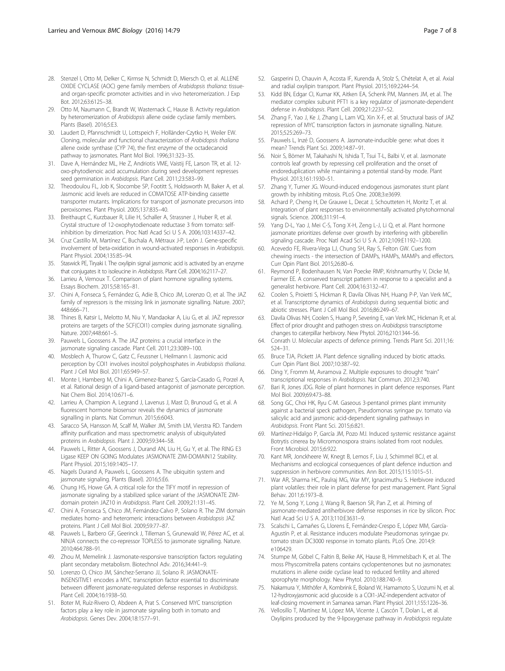- <span id="page-6-0"></span>28. Stenzel I, Otto M, Delker C, Kirmse N, Schmidt D, Miersch O, et al. ALLENE OXIDE CYCLASE (AOC) gene family members of Arabidopsis thaliana: tissueand organ-specific promoter activities and in vivo heteromerization. J Exp Bot. 2012;63:6125–38.
- 29. Otto M, Naumann C, Brandt W, Wasternack C, Hause B. Activity regulation by heteromerization of Arabidopsis allene oxide cyclase family members. Plants (Basel). 2016;5:E3.
- 30. Laudert D, Pfannschmidt U, Lottspeich F, Holländer-Czytko H, Weiler EW. Cloning, molecular and functional characterization of Arabidopsis thaliana allene oxide synthase (CYP 74), the first enzyme of the octadecanoid pathway to jasmonates. Plant Mol Biol. 1996;31:323–35.
- 31. Dave A, Hernández ML, He Z, Andriotis VME, Vaistij FE, Larson TR, et al. 12 oxo-phytodienoic acid accumulation during seed development represses seed germination in Arabidopsis. Plant Cell. 2011;23:583–99.
- 32. Theodoulou FL, Job K, Slocombe SP, Footitt S, Holdsworth M, Baker A, et al. Jasmonic acid levels are reduced in COMATOSE ATP-binding cassette transporter mutants. Implications for transport of jasmonate precursors into peroxisomes. Plant Physiol. 2005;137:835–40.
- 33. Breithaupt C, Kurzbauer R, Lilie H, Schaller A, Strassner J, Huber R, et al. Crystal structure of 12-oxophytodienoate reductase 3 from tomato: selfinhibition by dimerization. Proc Natl Acad Sci U S A. 2006;103:14337–42.
- 34. Cruz Castillo M, Martínez C, Buchala A, Métraux J-P, León J. Gene-specific involvement of beta-oxidation in wound-activated responses in Arabidopsis. Plant Physiol. 2004;135:85–94.
- Staswick PE, Tiryaki I. The oxylipin signal jasmonic acid is activated by an enzyme that conjugates it to isoleucine in Arabidopsis. Plant Cell. 2004;16:2117–27.
- 36. Larrieu A, Vernoux T. Comparison of plant hormone signalling systems. Essays Biochem. 2015;58:165–81.
- 37. Chini A, Fonseca S, Fernández G, Adie B, Chico JM, Lorenzo O, et al. The JAZ family of repressors is the missing link in jasmonate signalling. Nature. 2007; 448:666–71.
- 38. Thines B, Katsir L, Melotto M, Niu Y, Mandaokar A, Liu G, et al. JAZ repressor proteins are targets of the SCF(COI1) complex during jasmonate signalling. Nature. 2007;448:661–5.
- 39. Pauwels L, Goossens A. The JAZ proteins: a crucial interface in the jasmonate signaling cascade. Plant Cell. 2011;23:3089–100.
- 40. Mosblech A, Thurow C, Gatz C, Feussner I, Heilmann I. Jasmonic acid perception by COI1 involves inositol polyphosphates in Arabidopsis thaliana. Plant J Cell Mol Biol. 2011;65:949–57.
- 41. Monte I, Hamberg M, Chini A, Gimenez-Ibanez S, García-Casado G, Porzel A, et al. Rational design of a ligand-based antagonist of jasmonate perception. Nat Chem Biol. 2014;10:671–6.
- 42. Larrieu A, Champion A, Legrand J, Lavenus J, Mast D, Brunoud G, et al. A fluorescent hormone biosensor reveals the dynamics of jasmonate signalling in plants. Nat Commun. 2015;6:6043.
- 43. Saracco SA, Hansson M, Scalf M, Walker JM, Smith LM, Vierstra RD. Tandem affinity purification and mass spectrometric analysis of ubiquitylated proteins in Arabidopsis. Plant J. 2009;59:344–58.
- 44. Pauwels L, Ritter A, Goossens J, Durand AN, Liu H, Gu Y, et al. The RING E3 Ligase KEEP ON GOING Modulates JASMONATE ZIM-DOMAIN12 Stability. Plant Physiol. 2015;169:1405–17.
- 45. Nagels Durand A, Pauwels L, Goossens A. The ubiquitin system and jasmonate signaling. Plants (Basel). 2016;5:E6.
- 46. Chung HS, Howe GA. A critical role for the TIFY motif in repression of jasmonate signaling by a stabilized splice variant of the JASMONATE ZIMdomain protein JAZ10 in Arabidopsis. Plant Cell. 2009;21:131–45.
- 47. Chini A, Fonseca S, Chico JM, Fernández-Calvo P, Solano R. The ZIM domain mediates homo- and heteromeric interactions between Arabidopsis JAZ proteins. Plant J Cell Mol Biol. 2009;59:77–87.
- 48. Pauwels L, Barbero GF, Geerinck J, Tilleman S, Grunewald W, Pérez AC, et al. NINJA connects the co-repressor TOPLESS to jasmonate signalling. Nature. 2010;464:788–91.
- 49. Zhou M, Memelink J. Jasmonate-responsive transcription factors regulating plant secondary metabolism. Biotechnol Adv. 2016;34:441–9.
- 50. Lorenzo O, Chico JM, Sánchez-Serrano JJ, Solano R. JASMONATE-INSENSITIVE1 encodes a MYC transcription factor essential to discriminate between different jasmonate-regulated defense responses in Arabidopsis. Plant Cell. 2004;16:1938–50.
- 51. Boter M, Ruíz-Rivero O, Abdeen A, Prat S. Conserved MYC transcription factors play a key role in jasmonate signaling both in tomato and Arabidopsis. Genes Dev. 2004;18:1577–91.
- 52. Gasperini D, Chauvin A, Acosta IF, Kurenda A, Stolz S, Chételat A, et al. Axial and radial oxylipin transport. Plant Physiol. 2015;169:2244–54.
- 53. Kidd BN, Edgar CI, Kumar KK, Aitken EA, Schenk PM, Manners JM, et al. The mediator complex subunit PFT1 is a key regulator of jasmonate-dependent defense in Arabidopsis. Plant Cell. 2009;21:2237–52.
- 54. Zhang F, Yao J, Ke J, Zhang L, Lam VQ, Xin X-F, et al. Structural basis of JAZ repression of MYC transcription factors in jasmonate signalling. Nature. 2015;525:269–73.
- 55. Pauwels L, Inzé D, Goossens A. Jasmonate-inducible gene: what does it mean? Trends Plant Sci. 2009;14:87–91.
- Noir S, Bömer M, Takahashi N, Ishida T, Tsui T-L, Balbi V, et al. Jasmonate controls leaf growth by repressing cell proliferation and the onset of endoreduplication while maintaining a potential stand-by mode. Plant Physiol. 2013;161:1930–51.
- 57. Zhang Y, Turner JG. Wound-induced endogenous jasmonates stunt plant growth by inhibiting mitosis. PLoS One. 2008;3:e3699.
- 58. Achard P, Cheng H, De Grauwe L, Decat J, Schoutteten H, Moritz T, et al. Integration of plant responses to environmentally activated phytohormonal signals. Science. 2006;311:91–4.
- 59. Yang D-L, Yao J, Mei C-S, Tong X-H, Zeng L-J, Li Q, et al. Plant hormone jasmonate prioritizes defense over growth by interfering with gibberellin signaling cascade. Proc Natl Acad Sci U S A. 2012;109:E1192–1200.
- 60. Acevedo FE, Rivera-Vega LJ, Chung SH, Ray S, Felton GW. Cues from chewing insects - the intersection of DAMPs, HAMPs, MAMPs and effectors. Curr Opin Plant Biol. 2015;26:80–6.
- 61. Reymond P, Bodenhausen N, Van Poecke RMP, Krishnamurthy V, Dicke M, Farmer EE. A conserved transcript pattern in response to a specialist and a generalist herbivore. Plant Cell. 2004;16:3132–47.
- Coolen S, Proietti S, Hickman R, Davila Olivas NH, Huang P-P, Van Verk MC, et al. Transcriptome dynamics of Arabidopsis during sequential biotic and abiotic stresses. Plant J Cell Mol Biol. 2016;86:249–67.
- 63. Davila Olivas NH, Coolen S, Huang P, Severing E, van Verk MC, Hickman R, et al. Effect of prior drought and pathogen stress on Arabidopsis transcriptome changes to caterpillar herbivory. New Phytol. 2016;210:1344–56.
- 64. Conrath U. Molecular aspects of defence priming. Trends Plant Sci. 2011;16: 524–31.
- 65. Bruce TJA, Pickett JA. Plant defence signalling induced by biotic attacks. Curr Opin Plant Biol. 2007;10:387–92.
- 66. Ding Y, Fromm M, Avramova Z. Multiple exposures to drought "train" transcriptional responses in Arabidopsis. Nat Commun. 2012;3:740.
- 67. Bari R, Jones JDG. Role of plant hormones in plant defence responses. Plant Mol Biol. 2009;69:473–88.
- 68. Song GC, Choi HK, Ryu C-M. Gaseous 3-pentanol primes plant immunity against a bacterial speck pathogen, Pseudomonas syringae pv. tomato via salicylic acid and jasmonic acid-dependent signaling pathways in Arabidopsis. Front Plant Sci. 2015;6:821.
- 69. Martínez-Hidalgo P, García JM, Pozo MJ. Induced systemic resistance against Botrytis cinerea by Micromonospora strains isolated from root nodules. Front Microbiol. 2015;6:922.
- 70. Kant MR, Jonckheere W, Knegt B, Lemos F, Liu J, Schimmel BCJ, et al. Mechanisms and ecological consequences of plant defence induction and suppression in herbivore communities. Ann Bot. 2015;115:1015–51.
- 71. War AR, Sharma HC, Paulraj MG, War MY, Ignacimuthu S. Herbivore induced plant volatiles: their role in plant defense for pest management. Plant Signal Behav. 2011;6:1973–8.
- 72. Ye M, Song Y, Long J, Wang R, Baerson SR, Pan Z, et al. Priming of jasmonate-mediated antiherbivore defense responses in rice by silicon. Proc Natl Acad Sci U S A. 2013;110:E3631–9.
- 73. Scalschi L, Camañes G, Llorens E, Fernández-Crespo E, López MM, García-Agustín P, et al. Resistance inducers modulate Pseudomonas syringae pv. tomato strain DC3000 response in tomato plants. PLoS One. 2014;9: e106429.
- 74. Stumpe M, Göbel C, Faltin B, Beike AK, Hause B, Himmelsbach K, et al. The moss Physcomitrella patens contains cyclopentenones but no jasmonates: mutations in allene oxide cyclase lead to reduced fertility and altered sporophyte morphology. New Phytol. 2010;188:740–9.
- 75. Nakamura Y, Mithöfer A, Kombrink E, Boland W, Hamamoto S, Uozumi N, et al. 12-hydroxyjasmonic acid glucoside is a COI1-JAZ-independent activator of leaf-closing movement in Samanea saman. Plant Physiol. 2011;155:1226–36.
- 76. Vellosillo T, Martínez M, López MA, Vicente J, Cascón T, Dolan L, et al. Oxylipins produced by the 9-lipoxygenase pathway in Arabidopsis regulate